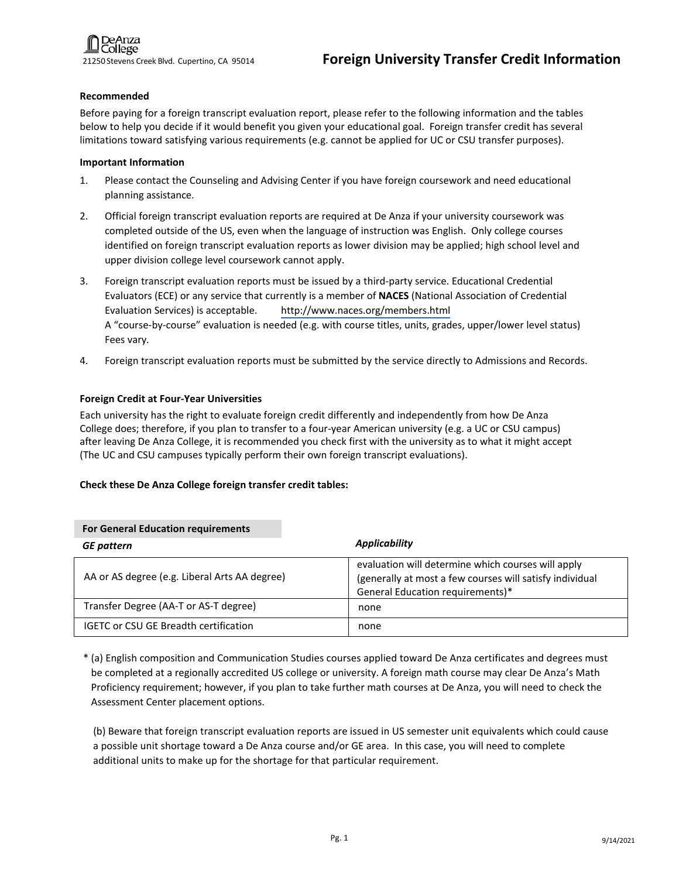#### **Recommended**

Before paying for a foreign transcript evaluation report, please refer to the following information and the tables below to help you decide if it would benefit you given your educational goal. Foreign transfer credit has several limitations toward satisfying various requirements (e.g. cannot be applied for UC or CSU transfer purposes).

### **Important Information**

- 1. Please contact the Counseling and Advising Center if you have foreign coursework and need educational planning assistance.
- 2. Official foreign transcript evaluation reports are required at De Anza if your university coursework was completed outside of the US, even when the language of instruction was English. Only college courses identified on foreign transcript evaluation reports as lower division may be applied; high school level and upper division college level coursework cannot apply.
- 3. Foreign transcript evaluation reports must be issued by a third-party service. Educational Credential Evaluators (ECE) or any service that currently is a member of **NACES** (National Association of Credential Evaluation Services) is acceptable. [http://www.naces.org/members.html](https://www.naces.org/members) A "course-by-course" evaluation is needed (e.g. with course titles, units, grades, upper/lower level status) Fees vary.
- 4. Foreign transcript evaluation reports must be submitted by the service directly to Admissions and Records.

# **Foreign Credit at Four-Year Universities**

Each university has the right to evaluate foreign credit differently and independently from how De Anza College does; therefore, if you plan to transfer to a four-year American university (e.g. a UC or CSU campus) after leaving De Anza College, it is recommended you check first with the university as to what it might accept (The UC and CSU campuses typically perform their own foreign transcript evaluations).

# **Check these De Anza College foreign transfer credit tables:**

| <b>For General Education requirements</b>     |                                                                                                                                                    |  |
|-----------------------------------------------|----------------------------------------------------------------------------------------------------------------------------------------------------|--|
| <b>GE</b> pattern                             | Applicability                                                                                                                                      |  |
| AA or AS degree (e.g. Liberal Arts AA degree) | evaluation will determine which courses will apply<br>(generally at most a few courses will satisfy individual<br>General Education requirements)* |  |
| Transfer Degree (AA-T or AS-T degree)         | none                                                                                                                                               |  |
| <b>IGETC or CSU GE Breadth certification</b>  | none                                                                                                                                               |  |

\* (a) English composition and Communication Studies courses applied toward De Anza certificates and degrees must be completed at a regionally accredited US college or university. A foreign math course may clear De Anza's Math Proficiency requirement; however, if you plan to take further math courses at De Anza, you will need to check the Assessment Center placement options.

(b) Beware that foreign transcript evaluation reports are issued in US semester unit equivalents which could cause a possible unit shortage toward a De Anza course and/or GE area. In this case, you will need to complete additional units to make up for the shortage for that particular requirement.